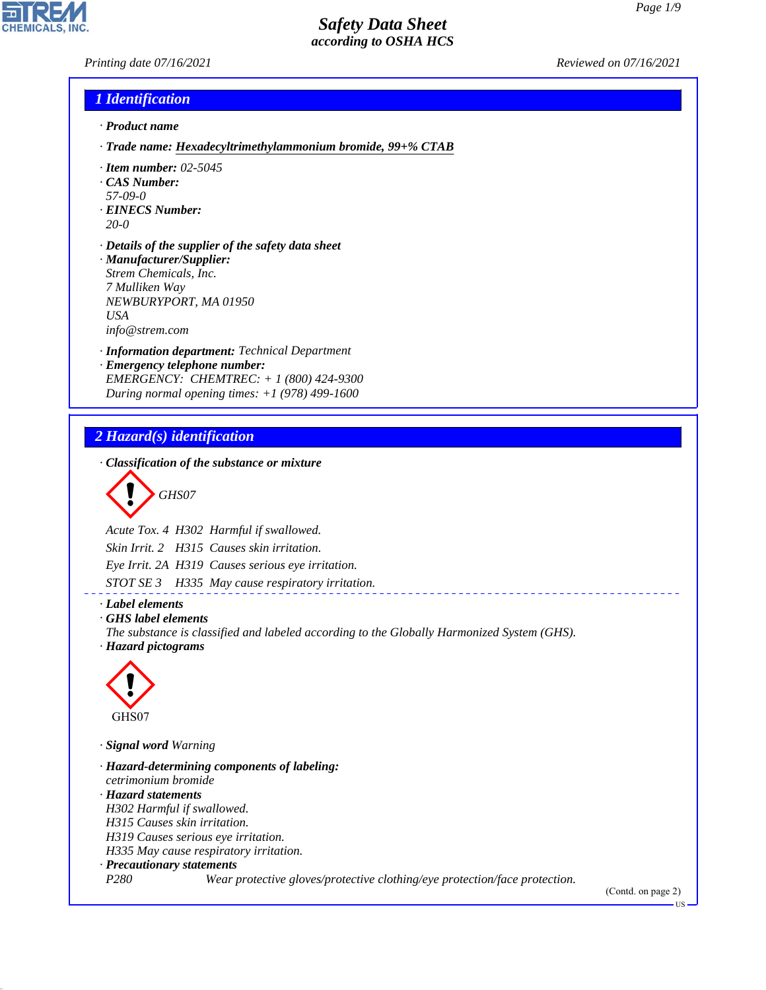*Printing date 07/16/2021 Reviewed on 07/16/2021*

**CHEMICALS.** 

### *1 Identification*

- *· Product name*
- *· Trade name: Hexadecyltrimethylammonium bromide, 99+% CTAB*
- *· Item number: 02-5045*
- *· CAS Number:*
- *57-09-0*
- *· EINECS Number: 20-0*
- *· Details of the supplier of the safety data sheet · Manufacturer/Supplier: Strem Chemicals, Inc. 7 Mulliken Way NEWBURYPORT, MA 01950*

*USA*

*info@strem.com*

- *· Information department: Technical Department*
- *· Emergency telephone number: EMERGENCY: CHEMTREC: + 1 (800) 424-9300 During normal opening times: +1 (978) 499-1600*

### *2 Hazard(s) identification*

*· Classification of the substance or mixture*

$$
\bigotimes \mathrm{GH}S07
$$

*Acute Tox. 4 H302 Harmful if swallowed. Skin Irrit. 2 H315 Causes skin irritation. Eye Irrit. 2A H319 Causes serious eye irritation.*

*STOT SE 3 H335 May cause respiratory irritation.*

*· Label elements · GHS label elements*

*The substance is classified and labeled according to the Globally Harmonized System (GHS). · Hazard pictograms*



44.1.1

*· Signal word Warning*

*· Hazard-determining components of labeling: cetrimonium bromide · Hazard statements H302 Harmful if swallowed. H315 Causes skin irritation. H319 Causes serious eye irritation. H335 May cause respiratory irritation. · Precautionary statements P280 Wear protective gloves/protective clothing/eye protection/face protection.* (Contd. on page 2)

US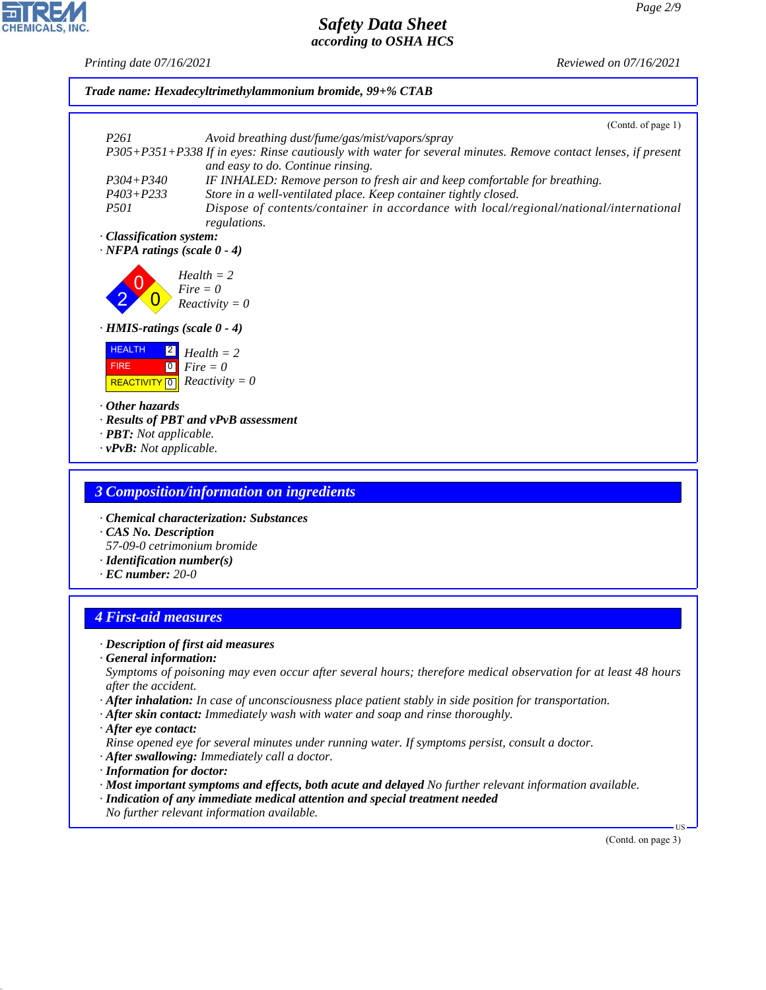*Printing date 07/16/2021 Reviewed on 07/16/2021*



*· General information:*

*Symptoms of poisoning may even occur after several hours; therefore medical observation for at least 48 hours after the accident.*

- *· After inhalation: In case of unconsciousness place patient stably in side position for transportation.*
- *· After skin contact: Immediately wash with water and soap and rinse thoroughly.*
- *· After eye contact:*

44.1.1

*Rinse opened eye for several minutes under running water. If symptoms persist, consult a doctor.*

- *· After swallowing: Immediately call a doctor.*
- *· Information for doctor:*
- *· Most important symptoms and effects, both acute and delayed No further relevant information available.*
- *· Indication of any immediate medical attention and special treatment needed*
- *No further relevant information available.*

(Contd. on page 3)

US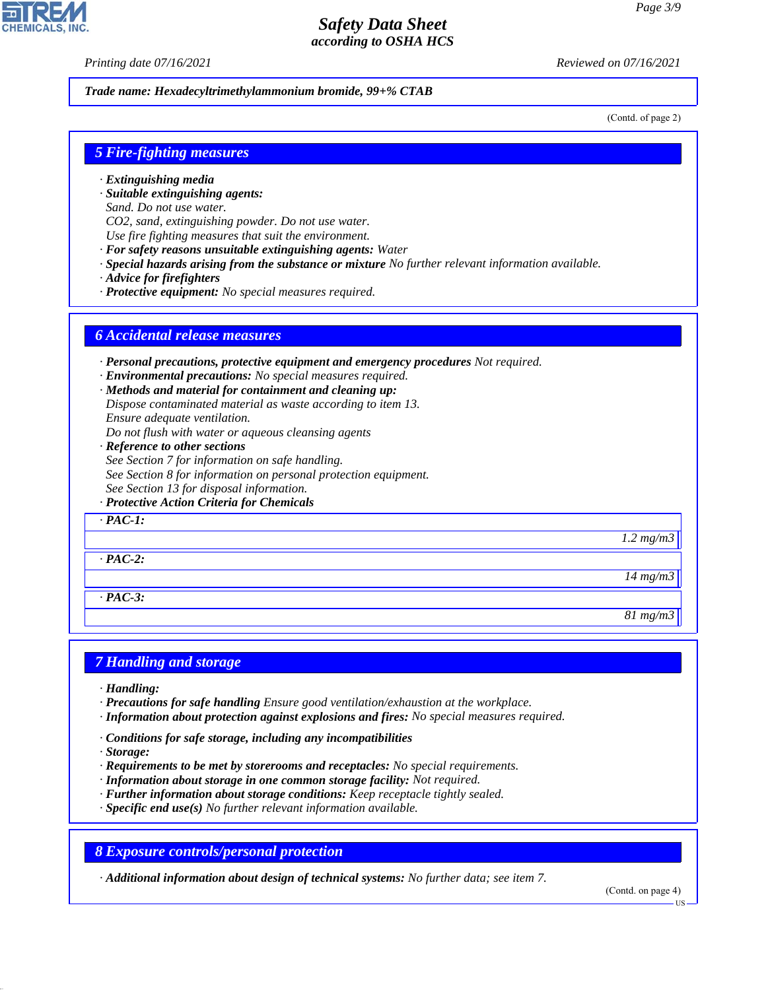*Printing date 07/16/2021 Reviewed on 07/16/2021*

*Trade name: Hexadecyltrimethylammonium bromide, 99+% CTAB*

(Contd. of page 2)

### *5 Fire-fighting measures*

- *· Extinguishing media*
- *· Suitable extinguishing agents:*
- *Sand. Do not use water.*
- *CO2, sand, extinguishing powder. Do not use water.*
- *Use fire fighting measures that suit the environment.*
- *· For safety reasons unsuitable extinguishing agents: Water*
- *· Special hazards arising from the substance or mixture No further relevant information available.*
- *· Advice for firefighters*
- *· Protective equipment: No special measures required.*

#### *6 Accidental release measures*

- *· Personal precautions, protective equipment and emergency procedures Not required.*
- *· Environmental precautions: No special measures required.*
- *· Methods and material for containment and cleaning up:*
- *Dispose contaminated material as waste according to item 13. Ensure adequate ventilation.*
- *Do not flush with water or aqueous cleansing agents*
- *· Reference to other sections*
- *See Section 7 for information on safe handling.*
- *See Section 8 for information on personal protection equipment.*
- *See Section 13 for disposal information.*
- *· Protective Action Criteria for Chemicals*

*· PAC-1:*

*· PAC-2:*

*· PAC-3:*

#### *7 Handling and storage*

- *· Handling:*
- *· Precautions for safe handling Ensure good ventilation/exhaustion at the workplace.*
- *· Information about protection against explosions and fires: No special measures required.*
- *· Conditions for safe storage, including any incompatibilities*
- *· Storage:*

44.1.1

- *· Requirements to be met by storerooms and receptacles: No special requirements.*
- *· Information about storage in one common storage facility: Not required.*
- *· Further information about storage conditions: Keep receptacle tightly sealed.*
- *· Specific end use(s) No further relevant information available.*

*8 Exposure controls/personal protection*

*· Additional information about design of technical systems: No further data; see item 7.*

(Contd. on page 4)

*1.2 mg/m3*

*14 mg/m3*

*81 mg/m3*

**HS**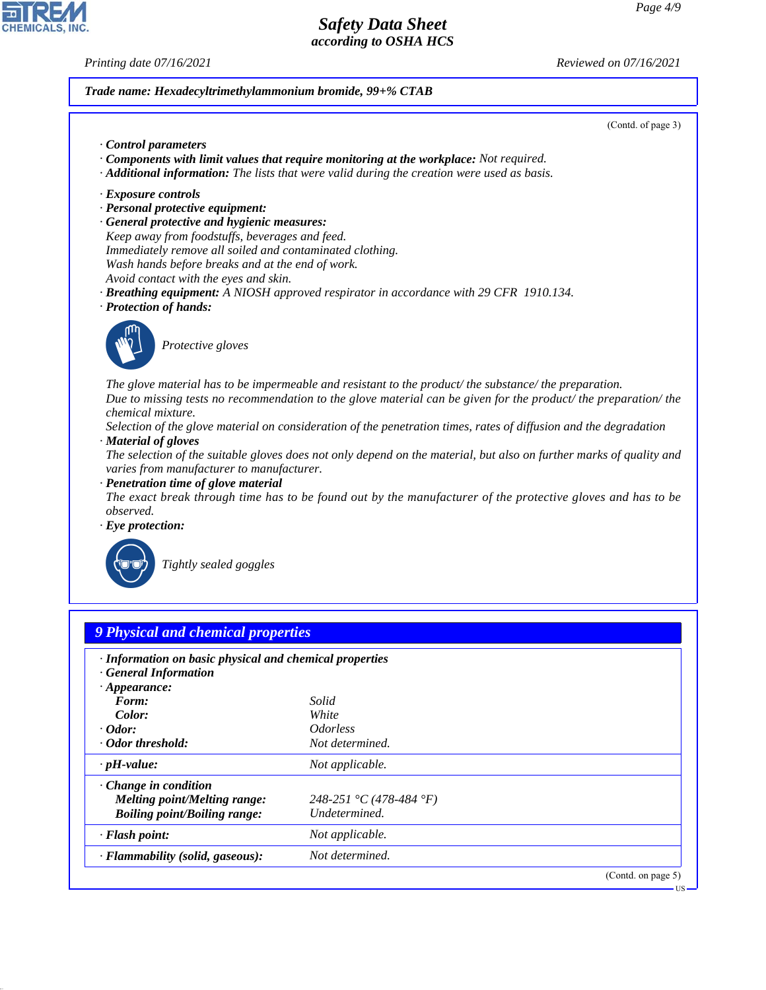CHEMICALS, INC.

44.1.1

*Printing date 07/16/2021 Reviewed on 07/16/2021*

*Trade name: Hexadecyltrimethylammonium bromide, 99+% CTAB*

| (Contd. of page 3)                                                                                                                                                                                                                                    |  |
|-------------------------------------------------------------------------------------------------------------------------------------------------------------------------------------------------------------------------------------------------------|--|
| Control parameters                                                                                                                                                                                                                                    |  |
| Components with limit values that require monitoring at the workplace: Not required.                                                                                                                                                                  |  |
| $\cdot$ <b>Additional information:</b> The lists that were valid during the creation were used as basis.                                                                                                                                              |  |
| · Exposure controls                                                                                                                                                                                                                                   |  |
| · Personal protective equipment:                                                                                                                                                                                                                      |  |
| · General protective and hygienic measures:                                                                                                                                                                                                           |  |
| Keep away from foodstuffs, beverages and feed.                                                                                                                                                                                                        |  |
| Immediately remove all soiled and contaminated clothing.                                                                                                                                                                                              |  |
| Wash hands before breaks and at the end of work.                                                                                                                                                                                                      |  |
| Avoid contact with the eyes and skin.                                                                                                                                                                                                                 |  |
| <b>· Breathing equipment:</b> A NIOSH approved respirator in accordance with 29 CFR 1910.134.                                                                                                                                                         |  |
| · Protection of hands:                                                                                                                                                                                                                                |  |
| Protective gloves                                                                                                                                                                                                                                     |  |
| The glove material has to be impermeable and resistant to the product/ the substance/ the preparation.<br>Due to missing tests no recommendation to the glove material can be given for the product/ the preparation/ the<br><i>chemical mixture.</i> |  |
| Selection of the glove material on consideration of the penetration times, rates of diffusion and the degradation                                                                                                                                     |  |
| · Material of gloves                                                                                                                                                                                                                                  |  |
| The selection of the suitable gloves does not only depend on the material, but also on further marks of quality and<br>varies from manufacturer to manufacturer.                                                                                      |  |
| · Penetration time of glove material                                                                                                                                                                                                                  |  |
| The exact break through time has to be found out by the manufacturer of the protective gloves and has to be<br><i>observed.</i>                                                                                                                       |  |
| $\cdot$ Eye protection:                                                                                                                                                                                                                               |  |
| Tightly sealed goggles                                                                                                                                                                                                                                |  |

| · Information on basic physical and chemical properties<br>· General Information |                               |  |
|----------------------------------------------------------------------------------|-------------------------------|--|
| $\cdot$ Appearance:                                                              |                               |  |
| Form:                                                                            | Solid                         |  |
| Color:                                                                           | White                         |  |
| $\cdot$ Odor:                                                                    | <i><u><b>Odorless</b></u></i> |  |
| Odor threshold:                                                                  | Not determined.               |  |
| $\cdot$ pH-value:                                                                | Not applicable.               |  |
| $\cdot$ Change in condition                                                      |                               |  |
| Melting point/Melting range:                                                     | 248-251 °C (478-484 °F)       |  |
| <b>Boiling point/Boiling range:</b>                                              | Undetermined.                 |  |
| · Flash point:                                                                   | Not applicable.               |  |
| · Flammability (solid, gaseous):                                                 | Not determined.               |  |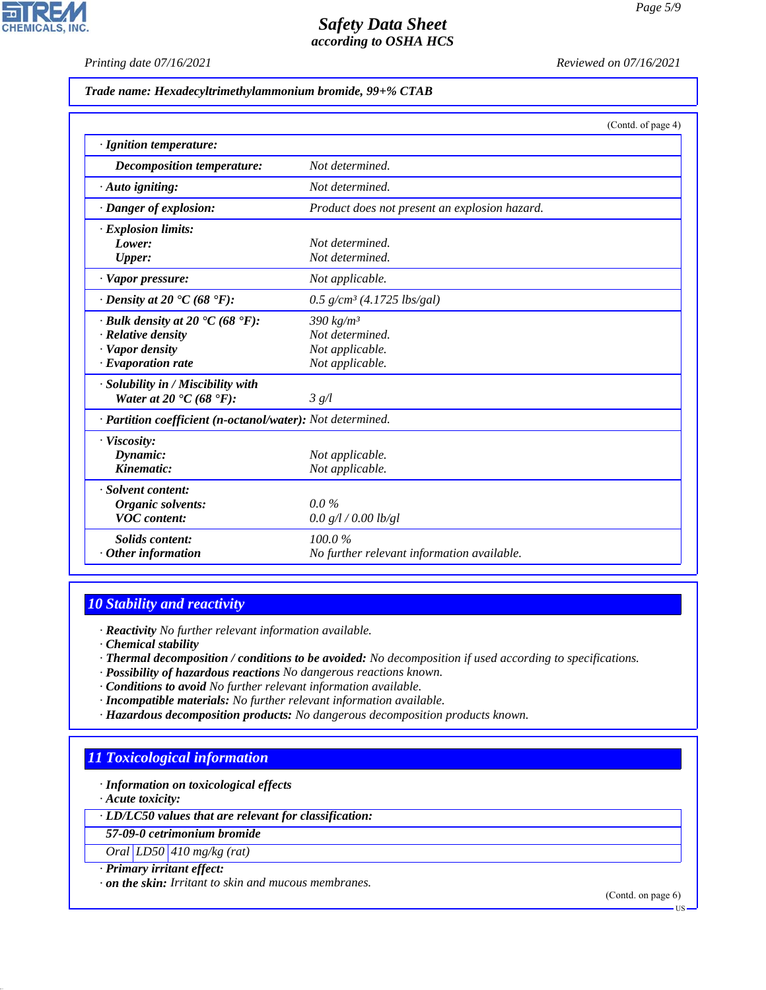**CHEMICALS, INC.** 

*Printing date 07/16/2021 Reviewed on 07/16/2021*

*Trade name: Hexadecyltrimethylammonium bromide, 99+% CTAB*

|                                                                  | (Contd. of page 4)                            |  |
|------------------------------------------------------------------|-----------------------------------------------|--|
| · Ignition temperature:                                          |                                               |  |
| Decomposition temperature:                                       | Not determined.                               |  |
| $\cdot$ Auto igniting:                                           | Not determined.                               |  |
| · Danger of explosion:                                           | Product does not present an explosion hazard. |  |
| · Explosion limits:                                              |                                               |  |
| Lower:                                                           | Not determined.                               |  |
| <b>Upper:</b>                                                    | Not determined.                               |  |
| · Vapor pressure:                                                | Not applicable.                               |  |
| $\cdot$ Density at 20 $\cdot$ C (68 $\cdot$ F):                  | $0.5$ g/cm <sup>3</sup> (4.1725 lbs/gal)      |  |
| $\cdot$ Bulk density at 20 $\textdegree$ C (68 $\textdegree$ F): | $390 \ kg/m^3$                                |  |
| · Relative density                                               | Not determined.                               |  |
| · Vapor density                                                  | Not applicable.                               |  |
| $\cdot$ Evaporation rate                                         | Not applicable.                               |  |
| · Solubility in / Miscibility with                               |                                               |  |
| Water at 20 $\textdegree$ C (68 $\textdegree$ F):                | 3 g/l                                         |  |
| · Partition coefficient (n-octanol/water): Not determined.       |                                               |  |
| · Viscosity:                                                     |                                               |  |
| Dynamic:                                                         | Not applicable.                               |  |
| Kinematic:                                                       | Not applicable.                               |  |
| · Solvent content:                                               |                                               |  |
| Organic solvents:                                                | $0.0\%$                                       |  |
| <b>VOC</b> content:                                              | 0.0 g/l / 0.00 lb/gl                          |  |
| <b>Solids content:</b>                                           | 100.0%                                        |  |
| $\cdot$ Other information                                        | No further relevant information available.    |  |

### *10 Stability and reactivity*

*· Reactivity No further relevant information available.*

- *· Chemical stability*
- *· Thermal decomposition / conditions to be avoided: No decomposition if used according to specifications.*
- *· Possibility of hazardous reactions No dangerous reactions known.*
- *· Conditions to avoid No further relevant information available.*
- *· Incompatible materials: No further relevant information available.*
- *· Hazardous decomposition products: No dangerous decomposition products known.*

### *11 Toxicological information*

*· Information on toxicological effects*

*· Acute toxicity:*

44.1.1

*· LD/LC50 values that are relevant for classification:*

*57-09-0 cetrimonium bromide*

*Oral LD50 410 mg/kg (rat)*

#### *· Primary irritant effect:*

*· on the skin: Irritant to skin and mucous membranes.*

(Contd. on page 6)

US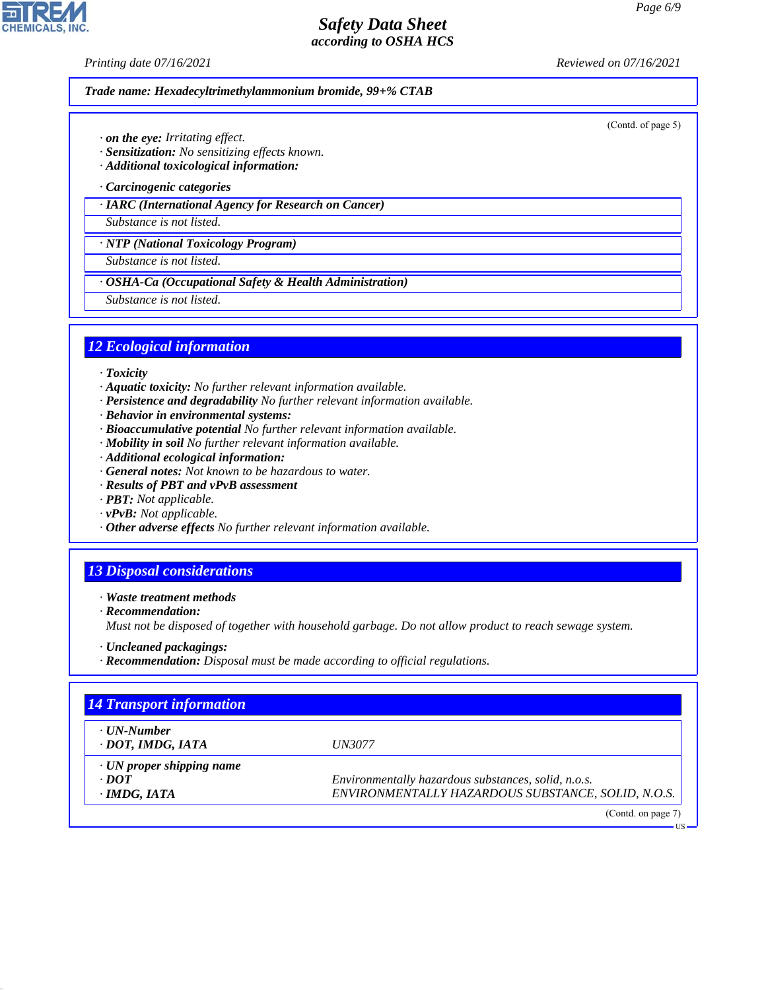**CHEMICALS, INC** 

*Printing date 07/16/2021 Reviewed on 07/16/2021*

(Contd. of page 5)

US

*Trade name: Hexadecyltrimethylammonium bromide, 99+% CTAB*

*· on the eye: Irritating effect.*

*· Sensitization: No sensitizing effects known.*

*· Additional toxicological information:*

*· Carcinogenic categories*

*· IARC (International Agency for Research on Cancer)*

*Substance is not listed.*

*· NTP (National Toxicology Program)*

*Substance is not listed.*

*· OSHA-Ca (Occupational Safety & Health Administration)*

*Substance is not listed.*

### *12 Ecological information*

*· Toxicity*

- *· Aquatic toxicity: No further relevant information available.*
- *· Persistence and degradability No further relevant information available.*
- *· Behavior in environmental systems:*
- *· Bioaccumulative potential No further relevant information available.*
- *· Mobility in soil No further relevant information available.*
- *· Additional ecological information:*
- *· General notes: Not known to be hazardous to water.*
- *· Results of PBT and vPvB assessment*
- *· PBT: Not applicable.*
- *· vPvB: Not applicable.*
- *· Other adverse effects No further relevant information available.*

### *13 Disposal considerations*

*· Waste treatment methods*

*· Recommendation:*

44.1.1

*Must not be disposed of together with household garbage. Do not allow product to reach sewage system.*

- *· Uncleaned packagings:*
- *· Recommendation: Disposal must be made according to official regulations.*

| <b>14 Transport information</b>                |                                                     |  |  |
|------------------------------------------------|-----------------------------------------------------|--|--|
| ⋅ UN-Number<br>· DOT, IMDG, IATA               | <i>UN3077</i>                                       |  |  |
| $\cdot$ UN proper shipping name<br>$\cdot$ DOT | Environmentally hazardous substances, solid, n.o.s. |  |  |
| $\cdot$ IMDG, IATA                             | ENVIRONMENTALLY HAZARDOUS SUBSTANCE, SOLID, N.O.S.  |  |  |
|                                                | (Contd. on page $7$ )                               |  |  |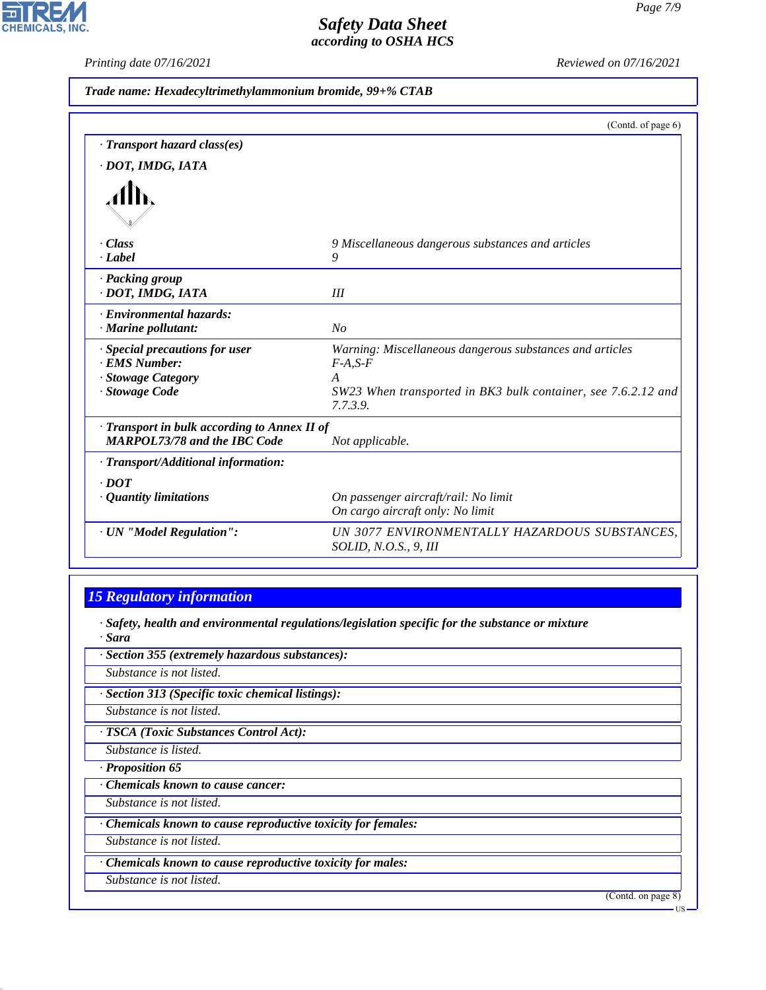$\overline{\mathbf{r}}$ 

**CHEMICALS, INC.** 

*Printing date 07/16/2021 Reviewed on 07/16/2021*

|                                            | (Contd. of page 6)                                                        |
|--------------------------------------------|---------------------------------------------------------------------------|
| · Transport hazard class(es)               |                                                                           |
| · DOT, IMDG, IATA                          |                                                                           |
|                                            |                                                                           |
| - Class                                    | 9 Miscellaneous dangerous substances and articles                         |
| · Label                                    | 9                                                                         |
| · Packing group                            |                                                                           |
| · DOT, IMDG, IATA                          | III                                                                       |
| · Environmental hazards:                   |                                                                           |
| · Marine pollutant:                        | No                                                                        |
| · Special precautions for user             | Warning: Miscellaneous dangerous substances and articles                  |
| · EMS Number:                              | $F-A, S-F$                                                                |
| · Stowage Category                         | $\overline{A}$                                                            |
| · Stowage Code                             | SW23 When transported in BK3 bulk container, see 7.6.2.12 and<br>7.7.3.9. |
| Transport in bulk according to Annex II of |                                                                           |
| <b>MARPOL73/78 and the IBC Code</b>        | Not applicable.                                                           |
| · Transport/Additional information:        |                                                                           |
| $\cdot$ DOT                                |                                                                           |
| · Quantity limitations                     | On passenger aircraft/rail: No limit                                      |
|                                            | On cargo aircraft only: No limit                                          |
| · UN "Model Regulation":                   | UN 3077 ENVIRONMENTALLY HAZARDOUS SUBSTANCES,                             |
|                                            | SOLID, N.O.S., 9, III                                                     |

# *15 Regulatory information*

*· Safety, health and environmental regulations/legislation specific for the substance or mixture · Sara*

*· Section 355 (extremely hazardous substances): Substance is not listed. · Section 313 (Specific toxic chemical listings): Substance is not listed. · TSCA (Toxic Substances Control Act): Substance is listed. · Proposition 65 · Chemicals known to cause cancer: Substance is not listed. · Chemicals known to cause reproductive toxicity for females: Substance is not listed.*

*· Chemicals known to cause reproductive toxicity for males:*

*Substance is not listed.*

44.1.1

(Contd. on page 8)

US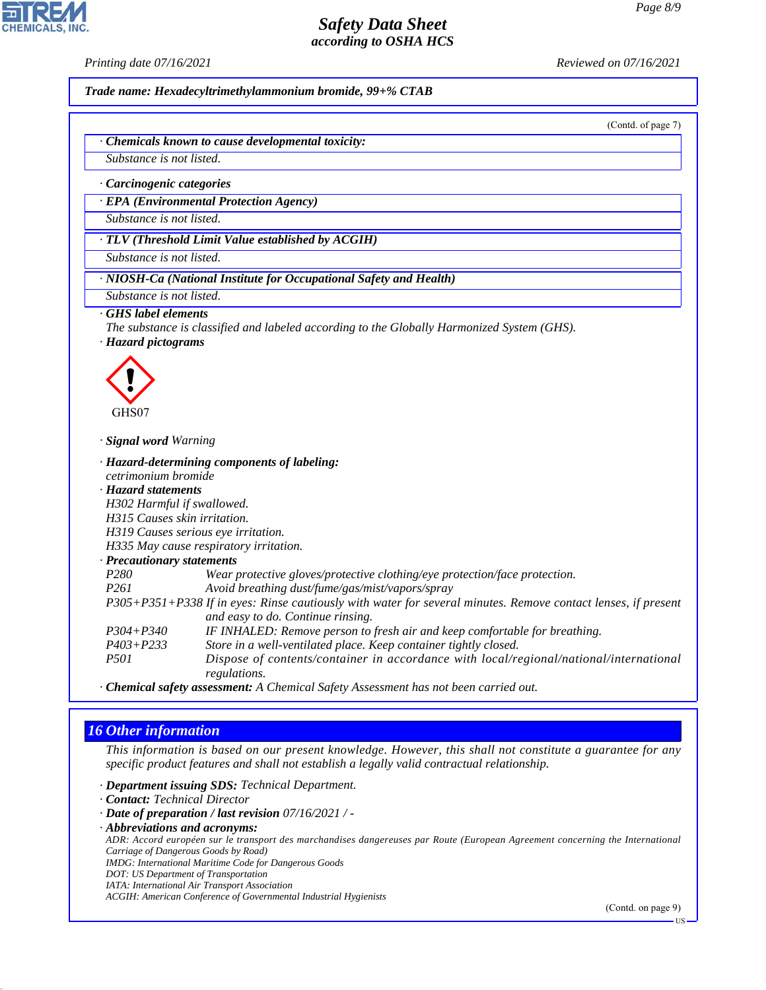

*Trade name: Hexadecyltrimethylammonium bromide, 99+% CTAB*

(Contd. of page 7)

*· Chemicals known to cause developmental toxicity:*

*Substance is not listed.*

*· Carcinogenic categories*

*· EPA (Environmental Protection Agency)*

*Substance is not listed.*

*· TLV (Threshold Limit Value established by ACGIH)*

*Substance is not listed.*

*· NIOSH-Ca (National Institute for Occupational Safety and Health)*

*Substance is not listed.*

#### *· GHS label elements*

*The substance is classified and labeled according to the Globally Harmonized System (GHS).*

*· Hazard pictograms*



*· Signal word Warning*

*· Hazard-determining components of labeling: cetrimonium bromide · Hazard statements*

- *H302 Harmful if swallowed.*
- *H315 Causes skin irritation.*

*H319 Causes serious eye irritation.*

*H335 May cause respiratory irritation.*

*· Precautionary statements*

| P280 | Wear protective gloves/protective clothing/eye protection/face protection. |
|------|----------------------------------------------------------------------------|
|------|----------------------------------------------------------------------------|

- *P261 Avoid breathing dust/fume/gas/mist/vapors/spray*
- *P305+P351+P338 If in eyes: Rinse cautiously with water for several minutes. Remove contact lenses, if present and easy to do. Continue rinsing.*
- *P304+P340 IF INHALED: Remove person to fresh air and keep comfortable for breathing.*
- *P403+P233 Store in a well-ventilated place. Keep container tightly closed. P501 Dispose of contents/container in accordance with local/regional/national/international regulations.*

*· Chemical safety assessment: A Chemical Safety Assessment has not been carried out.*

### *16 Other information*

44.1.1

*This information is based on our present knowledge. However, this shall not constitute a guarantee for any specific product features and shall not establish a legally valid contractual relationship.*

*· Department issuing SDS: Technical Department.*

- *· Contact: Technical Director*
- *· Date of preparation / last revision 07/16/2021 / -*
- *· Abbreviations and acronyms:*

*ADR: Accord européen sur le transport des marchandises dangereuses par Route (European Agreement concerning the International Carriage of Dangerous Goods by Road)*

*IMDG: International Maritime Code for Dangerous Goods*

*DOT: US Department of Transportation IATA: International Air Transport Association*

*ACGIH: American Conference of Governmental Industrial Hygienists*

(Contd. on page 9)

US